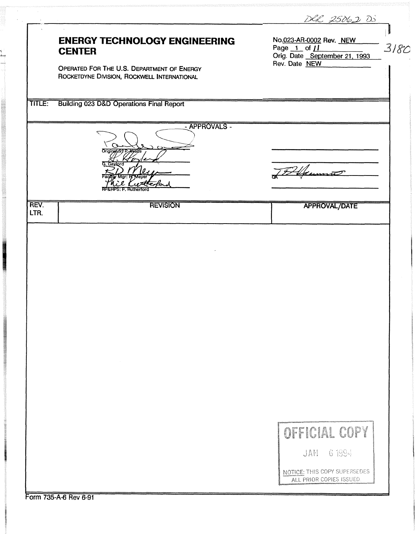|              |                                                                                           | DR 25062 DS                                                                      |
|--------------|-------------------------------------------------------------------------------------------|----------------------------------------------------------------------------------|
|              | <b>ENERGY TECHNOLOGY ENGINEERING</b><br><b>CENTER</b>                                     | No.023-AR-0002 Rev. NEW<br>3180<br>Page 1 of 11<br>Orig. Date September 21, 1993 |
|              | OPERATED FOR THE U.S. DEPARTMENT OF ENERGY<br>ROCKETDYNE DIVISION, ROCKWELL INTERNATIONAL | Rev. Date NEW                                                                    |
| TITLE:       | <b>Building 023 D&amp;D Operations Final Report</b>                                       |                                                                                  |
|              | - APPROVALS -<br>Originatory PAVAITE                                                      |                                                                                  |
|              | G. Gaylord<br><b>E. Rutherfor</b>                                                         |                                                                                  |
| REV.<br>LTR. | <b>REVISION</b>                                                                           | <b>APPROVAL/DATE</b>                                                             |
|              |                                                                                           |                                                                                  |
|              |                                                                                           |                                                                                  |
|              |                                                                                           |                                                                                  |
|              |                                                                                           |                                                                                  |
|              |                                                                                           |                                                                                  |
|              |                                                                                           |                                                                                  |
|              |                                                                                           |                                                                                  |
|              |                                                                                           |                                                                                  |
|              |                                                                                           | OFFICIAL COPY                                                                    |
|              |                                                                                           | JAN 6 1994                                                                       |
|              |                                                                                           | NOTICE: THIS COPY SUPERSEDES<br>ALL PRIOR COPIES ISSUED.                         |
|              | Form 735-A-6 Rev 6-91                                                                     |                                                                                  |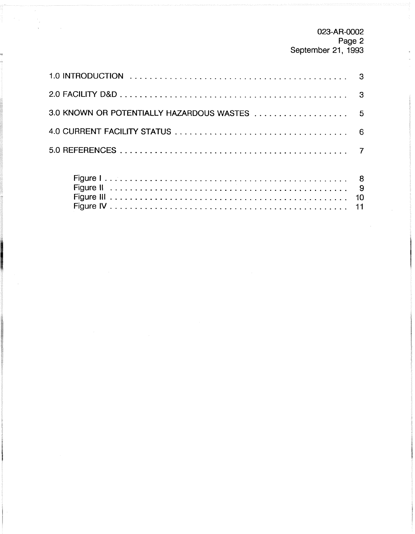023-AR-0002 Page 2 September 21. 1993

| 3.0 KNOWN OR POTENTIALLY HAZARDOUS WASTES  5 |  |
|----------------------------------------------|--|
|                                              |  |
|                                              |  |
|                                              |  |

FigureIV ................................................ 11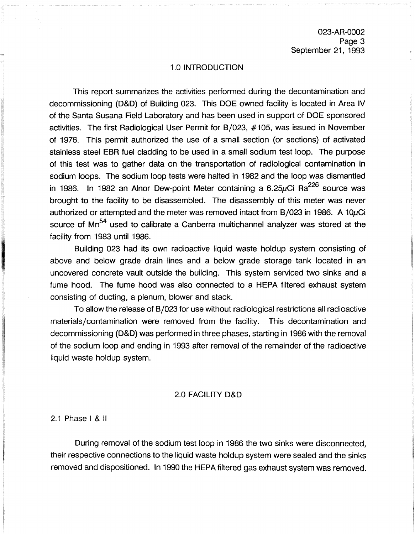023-AR-0002 Page 3 September 21, 1993

### 1.0 INTRODUCTION

This report summarizes the activities performed during the decontamination and decommissioning (D&D) of Building 023. This DOE owned facility is located in Area IV of the Santa Susana Field Laboratory and has been used in support of DOE sponsored activities. The first Radiological User Permit for B/023, #105, was issued in November of 1976. This permit authorized the use of a small section (or sections) of activated stainless steel EBR fuel cladding to be used in a small sodium test loop. The purpose of this test was to gather data on the transportation of radiological contamination in sodium loops. The sodium loop tests were halted in 1982 and the loop was dismantled in 1986. In 1982 an Alnor Dew-point Meter containing a 6.25 $\mu$ Ci Ra $^{226}$  source was brought to the facility to be disassembled. The disassembly of this meter was never authorized or attempted and the meter was removed intact from B/023 in 1986. A 10 $\mu$ Ci source of Mn<sup>54</sup> used to calibrate a Canberra multichannel analyzer was stored at the facility from 1983 until 1986.

Building 023 had its own radioactive liquid waste holdup system consisting of above and below grade drain lines and a below grade storage tank located in an uncovered concrete vault outside the building. This system serviced two sinks and a fume hood. The fume hood was also connected to a HEPA filtered exhaust system consisting of ducting, a plenum, blower and stack.

To allow the release of B/023 for use without radiological restrictions all radioactive materials/contamination were removed from the facility. This decontamination and decommissioning (D&D) was performed in three phases, starting in 1986 with the removal of the sodium loop and ending in 1993 after removal of the remainder of the radioactive liquid waste holdup system.

## 2.0 FACILITY D&D

2.1 Phase l & ll

During removal of the sodium test loop in 1986 the two sinks were disconnected, their respective connections to the liquid waste holdup system were sealed and the sinks removed and dispositioned. In 1990 the HEPA filtered gas exhaust system was removed.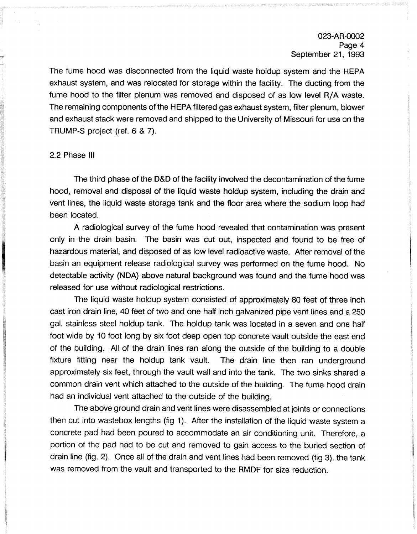The fume hood was disconnected from the liquid waste holdup system and the HEPA exhaust system, and was relocated for storage within the facility. The ducting from the fume hood to the filter plenum was removed and disposed of as low level R/A waste. The remaining components of the HEPA filtered gas exhaust system, filter plenum, blower and exhaust stack were removed and shipped to the University of Missouri for use on the TRUMP-S project (ref. 6 & 7).

### 2.2 Phase Ill

The third phase of the D&D of the facility involved the decontamination of the fume hood, removal and disposal of the liquid waste holdup system, including the drain and vent lines, the liquid waste storage tank and the floor area where the sodium loop had been located.

A radiological survey of the fume hood revealed that contamination was present only in the drain basin. The basin was cut out, inspected and found to be free of hazardous material, and disposed of as low level radioactive waste. After removal of the basin an equipment release radiological survey was performed on the fume hood. No detectable activity (NDA) above natural background was found and the fume hood was released for use without radiological restrictions.

The liquid waste holdup system consisted of approximately 80 feet of three inch cast iron drain line, 40 feet of two and one half inch galvanized pipe vent lines and a 250 gal. stainless steel holdup tank. The holdup tank was located in a seven and one half foot wide by 10 foot long by six foot deep open top concrete vault outside the east end of the building. All of the drain lines ran along the outside of the building to a double fixture fitting near the holdup tank vault. The drain line then ran underground approximately six feet, through the vault wall and into the tank. The two sinks shared a common drain vent which attached to the outside of the building. The fume hood drain had an individual vent attached to the outside of the building.

The above ground drain and vent lines were disassembled at joints or connections then cut into wastebox lengths (fig 1). After the installation of the liquid waste system a concrete pad had been poured to accommodate an air conditioning unit. Therefore, a portion of the pad had to be cut and removed to gain access to the buried section of drain line (fig. 2). Once all of the drain and vent lines had been removed (fig 3). the tank was removed from the vault and transported to the RMDF for size reduction.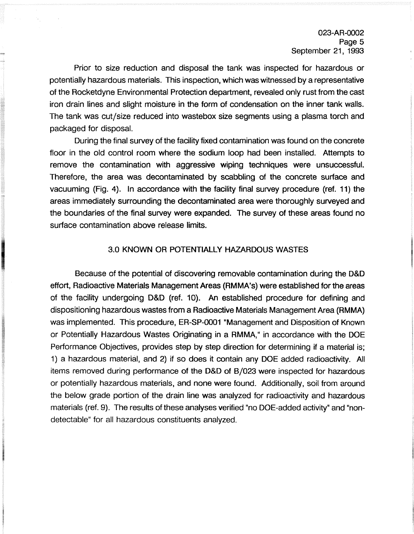Prior to size reduction and disposal the tank was inspected for hazardous or potentially hazardous materials. This inspection, which was witnessed by a representative of the Rocketdyne Environmental Protection department, revealed only rust from the cast iron drain lines and slight moisture in the form of condensation on the inner tank walls. The tank was cut/size reduced into wastebox size segments using a plasma torch and packaged for disposal.

During the final survey of the facility fixed contamination was found on the concrete floor in the old control room where the sodium loop had been installed. Attempts to remove the contamination with aggressive wiping techniques were unsuccessful. Therefore, the area was decontaminated by scabbling of the concrete surface and vacuuming (Fig. **4).** In accordance with the facility final survey procedure (ref. 11) the areas immediately surrounding the decontaminated area were thoroughly surveyed and the boundaries of the final survey were expanded. The survey of these areas found no surface contamination above release limits.

# 3.0 KNOWN OR POTENTIALLY HAZARDOUS WASTES

Because of the potential of discovering removable contamination during the D&D effort, Radioactive Materials Management Areas (RMMA's) were established for the areas of the facility undergoing D&D (ref. 10). An established procedure for defining and dispositioning hazardous wastes from a Radioactive Materials Management Area (RMMA) was implemented. This procedure, ER-SP-0001 "Management and Disposition of Known or Potentially Hazardous Wastes Originating in a RMMA," in accordance with the DOE Performance Objectives, provides step by step direction for determining if a material is; I) a hazardous material, and 2) if so does it contain any DOE added radioactivity. All items removed during performance of the D&D of B/023 were inspected for hazardous or potentially hazardous materials, and none were found. Additionally, soil from around the below grade portion of the drain line was analyzed for radioactivity and hazardous materials (ref. 9). The results of these analyses verified "no DOE-added activity" and "nondetectable" for all hazardous constituents analyzed.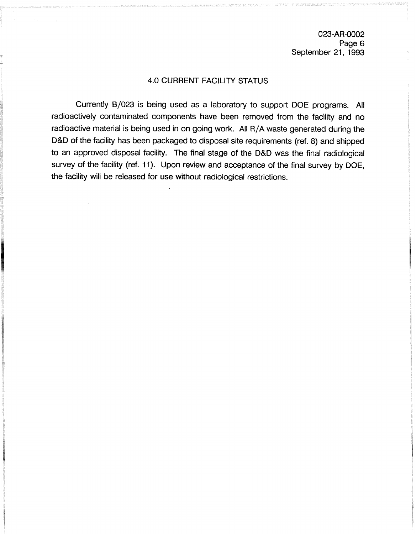023-AR-0002 Page 6 September 21, 1993

# 4.0 CURRENT FACILITY STATUS

Currently 8/023 is being used as a laboratory to support DOE programs. All radioactively contaminated components have been removed from the facility and no radioactive material is being used in on going work. All R/A waste generated during the D&D of the facility has been packaged to disposal site requirements (ref. 8) and shipped to an approved disposal facility. The final stage of the D&D was the final radiological survey of the facility (ref. 11). Upon review and acceptance of the final survey by DOE, the facility will be released for use without radiological restrictions.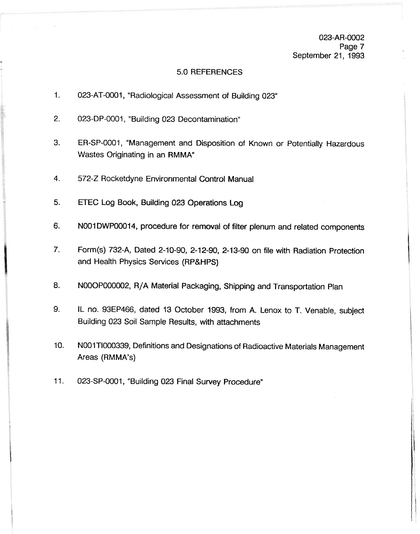023-AR-0002 Page 7 September 21, 1993

## 5.0 REFERENCES

- $\mathbf{1}$ . 023-AT-0001, "Radiological Assessment of Building 023"
- $2.$ 023-DP-0001, "Building 023 Decontamination"
- $3.$ ER-SP-0001, "Management and Disposition of Known or Potentially Hazardous Wastes Originating in an RMMA"
- 4. 572-2 Rocketdyne Environmental Control Manual
- 5. ETEC Log Book, Building 023 Operations Log
- 6. NO01 DWP00014, procedure for removal of filter plenum and related components
- $\overline{7}$ . Form(s) 732-A, Dated 2-10-90, 2-12-90, 2-13-90 on file with Radiation Protection and Health Physics Services (RP&HPS)
- NOOOP000002, **RIA** Material Packaging, Shipping and Transportation Plan 8.
- 9. IL no. 93EP466, dated 13 October 1993, from A. Lenox to T. Venable, subject Building 023 Soil Sample Results, with attachments
- $10.$ N001T1000339, Definitions and Designations of Radioactive Materials Management Areas (RMMA's)
- $11.$ 023-SP-0001, "Building 023 Final Survey Procedure"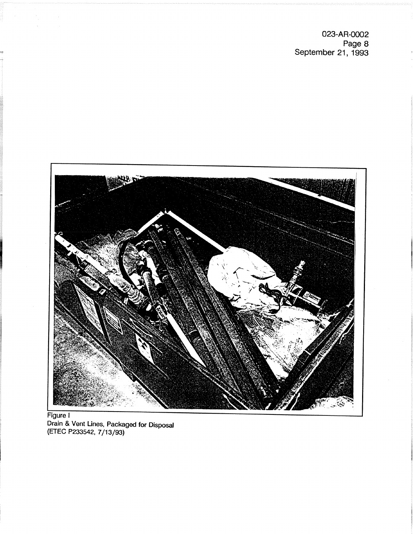023-AR-0002 Page **8**  September 21, 1993



**Drain & Vent Lines, Packaged for Disposal (ETEC P233542, 7/13/93)**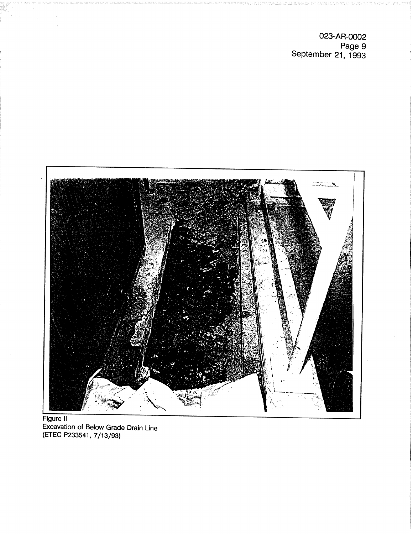**023-AR-0002 Page 9 September 21, 1993** 



**Figure It Excavation of Below Grade Drain Line (ETEC P233541, 7/13/93)**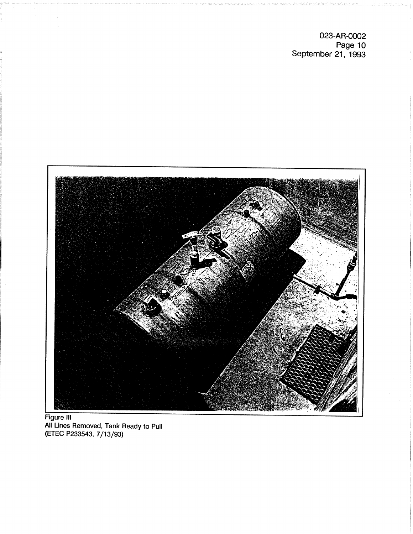**023-AR-0002 Page 10 September 21, 1993**